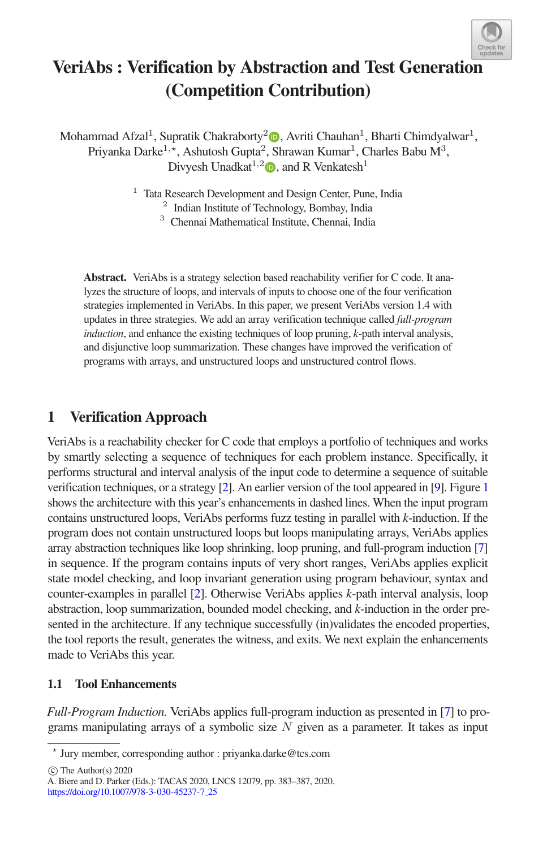

# VeriAbs : Verification by Abstraction and Test Generati[on](http://crossmark.crossref.org/dialog/?doi=10.1007/978-3-030-45237-7_25&domain=pdf) (Competition Contribution)

Mohammad Afzal<sup>1</sup>[,](http://orcid.org/0000-0002-7527-7675) Supratik Chakraborty<sup>2</sup> $\bullet$ , Avriti Chauhan<sup>1</sup>, Bharti Chimdyalwar<sup>1</sup>, Priyanka Darke $^{1,\star}$ , Ashutosh Gupta $^2$ , Shrawan Kumar $^1$ , Charles Babu M $^3$ , Divyesh Unadkat<sup>1[,](http://orcid.org/0000-0001-6106-4719)2</sup> $\bullet$ , and R Venkatesh<sup>1</sup>

<sup>1</sup> Tata Research Development and Design Center, Pune, India

<sup>2</sup> Indian Institute of Technology, Bombay, India

<sup>3</sup> Chennai Mathematical Institute, Chennai, India

Abstract. VeriAbs is a strategy selection based reachability verifier for C code. It analyzes the structure of loops, and intervals of inputs to choose one of the four verification strategies implemented in VeriAbs. In this paper, we present VeriAbs version 1.4 with updates in three strategies. We add an array verification technique called *full-program induction*, and enhance the existing techniques of loop pruning, *k*-path interval analysis, and disjunctive loop summarization. These changes have improved the verification of programs with arrays, and unstructured loops and unstructured control flows.

### 1 Verification Approach

VeriAbs is a reachability checker for C code that employs a portfolio of techniques and works by smartly selecting a sequence of techniques for each problem instance. Specifically, it performs structural and interval analysis of the input code to determine a sequence of suitable verification techniques, or a strategy [\[2\]](#page-3-0). An earlier version of the tool appeared in [\[9\]](#page-3-1). Figure [1](#page-1-0) shows the architecture with this year's enhancements in dashed lines. When the input program contains unstructured loops, VeriAbs performs fuzz testing in parallel with *k*-induction. If the program does not contain unstructured loops but loops manipulating arrays, VeriAbs applies array abstraction techniques like loop shrinking, loop pruning, and full-program induction [\[7\]](#page-3-2) in sequence. If the program contains inputs of very short ranges, VeriAbs applies explicit state model checking, and loop invariant generation using program behaviour, syntax and counter-examples in parallel [\[2\]](#page-3-0). Otherwise VeriAbs applies *k*-path interval analysis, loop abstraction, loop summarization, bounded model checking, and *k*-induction in the order presented in the architecture. If any technique successfully (in)validates the encoded properties, the tool reports the result, generates the witness, and exits. We next explain the enhancements made to VeriAbs this year.

#### 1.1 Tool Enhancements

*Full-Program Induction.* VeriAbs applies full-program induction as presented in [\[7\]](#page-3-2) to programs manipulating arrays of a symbolic size  $N$  given as a parameter. It takes as input

 $\circ$  The Author(s) 2020

<sup>-</sup> Jury member, corresponding author : priyanka.darke@tcs.com

A. Biere and D. Parker (Eds.): TACAS 2020, LNCS 12079, pp. 383–387, 2020. [https://doi.org/10.1007/978-3-030-45237-7](https://doi.org/10.1007/978-3-030-45237-7_25) 25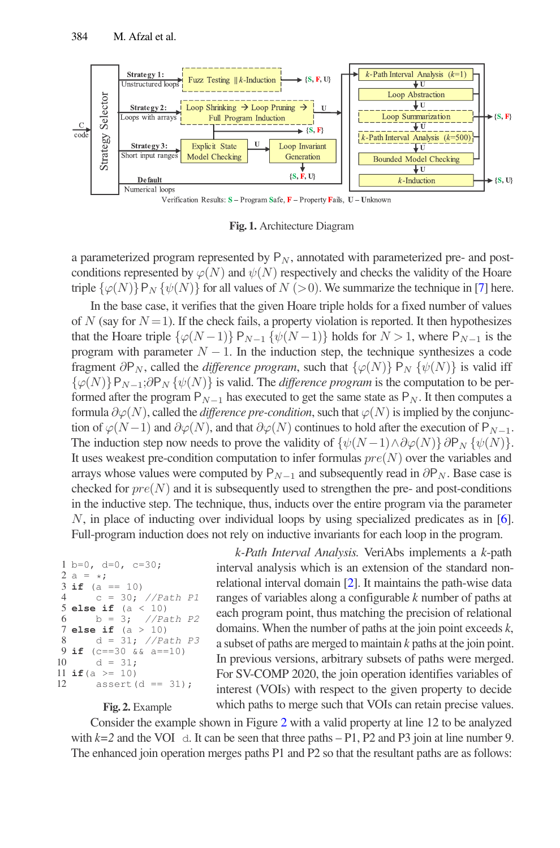

<span id="page-1-0"></span>Fig. 1. Architecture Diagram

a parameterized program represented by  $P_N$ , annotated with parameterized pre- and postconditions represented by  $\varphi(N)$  and  $\psi(N)$  respectively and checks the validity of the Hoare triple  $\{\varphi(N)\}P_N \{\psi(N)\}\$  for all values of  $N (> 0)$ . We summarize the technique in [\[7\]](#page-3-2) here.

In the base case, it verifies that the given Hoare triple holds for a fixed number of values of N (say for  $N = 1$ ). If the check fails, a property violation is reported. It then hypothesizes that the Hoare triple  $\{\varphi(N-1)\}\mathsf{P}_{N-1}\{\psi(N-1)\}\$  holds for  $N>1$ , where  $\mathsf{P}_{N-1}$  is the program with parameter  $N - 1$ . In the induction step, the technique synthesizes a code fragment  $\partial P_N$ , called the *difference program*, such that  $\{\varphi(N)\}\ P_N \{\psi(N)\}\$ is valid iff  $\{\varphi(N)\}P_{N-1}$ ;∂P<sub>N</sub>  $\{\psi(N)\}\$ is valid. The *difference program* is the computation to be performed after the program  $P_{N-1}$  has executed to get the same state as  $P_N$ . It then computes a formula  $\partial \varphi(N)$ , called the *difference pre-condition*, such that  $\varphi(N)$  is implied by the conjunction of  $\varphi(N-1)$  and  $\partial \varphi(N)$ , and that  $\partial \varphi(N)$  continues to hold after the execution of P<sub>N−1</sub>. The induction step now needs to prove the validity of  $\{\psi(N-1)\wedge\partial\varphi(N)\}\partial P_N$   $\{\psi(N)\}.$ It uses weakest pre-condition computation to infer formulas  $pre(N)$  over the variables and arrays whose values were computed by  $P_{N-1}$  and subsequently read in  $\partial P_N$ . Base case is checked for  $pre(N)$  and it is subsequently used to strengthen the pre- and post-conditions in the inductive step. The technique, thus, inducts over the entire program via the parameter N, in place of inducting over individual loops by using specialized predicates as in [\[6\]](#page-3-3). Full-program induction does not rely on inductive invariants for each loop in the program.

```
1 b=0, d=0, c=30;2 a = \star;
3 if (a == 10)
4 c = 30; //Path P1
5 else if (a < 10)<br>6 b = 3; //Pa
6 b = 3; //Path P27 else if (a > 10)
8 d = 31; //Path P39 if (c==30 \& k a==10)<br>10 d = 31:
       d = 31;11 if(a >= 10)
12 assert (d == 31);
```
*k-Path Interval Analysis.* VeriAbs implements a *k*-path interval analysis which is an extension of the standard nonrelational interval domain [\[2\]](#page-3-0). It maintains the path-wise data ranges of variables along a configurable *k* number of paths at each program point, thus matching the precision of relational domains. When the number of paths at the join point exceeds *k*, a subset of paths are merged to maintain *k* paths at the join point. In previous versions, arbitrary subsets of paths were merged. For SV-COMP 2020, the join operation identifies variables of interest (VOIs) with respect to the given property to decide which paths to merge such that VOIs can retain precise values.

<span id="page-1-1"></span>Fig. 2. Example

Consider the example shown in Figure [2](#page-1-1) with a valid property at line 12 to be analyzed with  $k=2$  and the VOI d. It can be seen that three paths  $-P1$ , P2 and P3 join at line number 9. The enhanced join operation merges paths P1 and P2 so that the resultant paths are as follows: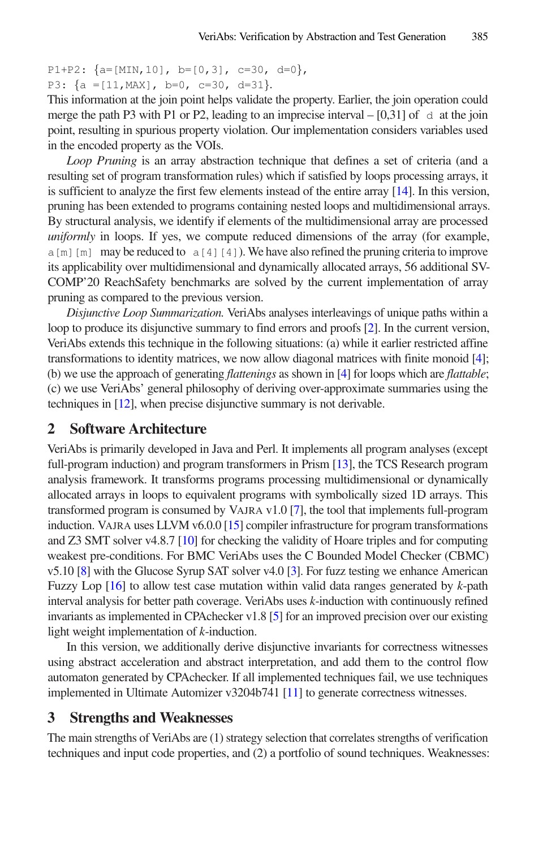```
P1+P2: {a=[MIN,10]}, b=[0,3], c=30, d=0,
P3: {a =[11,MAX], b=0, c=30, d=31}.
```
This information at the join point helps validate the property. Earlier, the join operation could merge the path P3 with P1 or P2, leading to an imprecise interval  $-[0,31]$  of d at the join point, resulting in spurious property violation. Our implementation considers variables used in the encoded property as the VOIs.

*Loop Pruning* is an array abstraction technique that defines a set of criteria (and a resulting set of program transformation rules) which if satisfied by loops processing arrays, it is sufficient to analyze the first few elements instead of the entire array [\[14\]](#page-4-0). In this version, pruning has been extended to programs containing nested loops and multidimensional arrays. By structural analysis, we identify if elements of the multidimensional array are processed *uniformly* in loops. If yes, we compute reduced dimensions of the array (for example,  $a[m]$ [m] may be reduced to  $a[4][4]$ ). We have also refined the pruning criteria to improve its applicability over multidimensional and dynamically allocated arrays, 56 additional SV-COMP'20 ReachSafety benchmarks are solved by the current implementation of array pruning as compared to the previous version.

*Disjunctive Loop Summarization.* VeriAbs analyses interleavings of unique paths within a loop to produce its disjunctive summary to find errors and proofs [\[2\]](#page-3-0). In the current version, VeriAbs extends this technique in the following situations: (a) while it earlier restricted affine transformations to identity matrices, we now allow diagonal matrices with finite monoid [\[4\]](#page-3-4); (b) we use the approach of generating *flattenings* as shown in [\[4\]](#page-3-4) for loops which are *flattable*; (c) we use VeriAbs' general philosophy of deriving over-approximate summaries using the techniques in [\[12\]](#page-4-1), when precise disjunctive summary is not derivable.

#### 2 Software Architecture

VeriAbs is primarily developed in Java and Perl. It implements all program analyses (except full-program induction) and program transformers in Prism [\[13\]](#page-4-2), the TCS Research program analysis framework. It transforms programs processing multidimensional or dynamically allocated arrays in loops to equivalent programs with symbolically sized 1D arrays. This transformed program is consumed by VAJRA v1.0 [\[7\]](#page-3-2), the tool that implements full-program induction. VAJRA uses LLVM v6.0.0 [\[15\]](#page-4-3) compiler infrastructure for program transformations and Z3 SMT solver v4.8.7 [\[10\]](#page-3-5) for checking the validity of Hoare triples and for computing weakest pre-conditions. For BMC VeriAbs uses the C Bounded Model Checker (CBMC) v5.10 [\[8\]](#page-3-6) with the Glucose Syrup SAT solver v4.0 [\[3\]](#page-3-7). For fuzz testing we enhance American Fuzzy Lop [\[16\]](#page-4-4) to allow test case mutation within valid data ranges generated by *k*-path interval analysis for better path coverage. VeriAbs uses *k*-induction with continuously refined invariants as implemented in CPAchecker v1.8 [\[5\]](#page-3-8) for an improved precision over our existing light weight implementation of *k*-induction.

In this version, we additionally derive disjunctive invariants for correctness witnesses using abstract acceleration and abstract interpretation, and add them to the control flow automaton generated by CPAchecker. If all implemented techniques fail, we use techniques implemented in Ultimate Automizer v3204b741 [\[11\]](#page-4-5) to generate correctness witnesses.

#### 3 Strengths and Weaknesses

The main strengths of VeriAbs are (1) strategy selection that correlates strengths of verification techniques and input code properties, and (2) a portfolio of sound techniques. Weaknesses: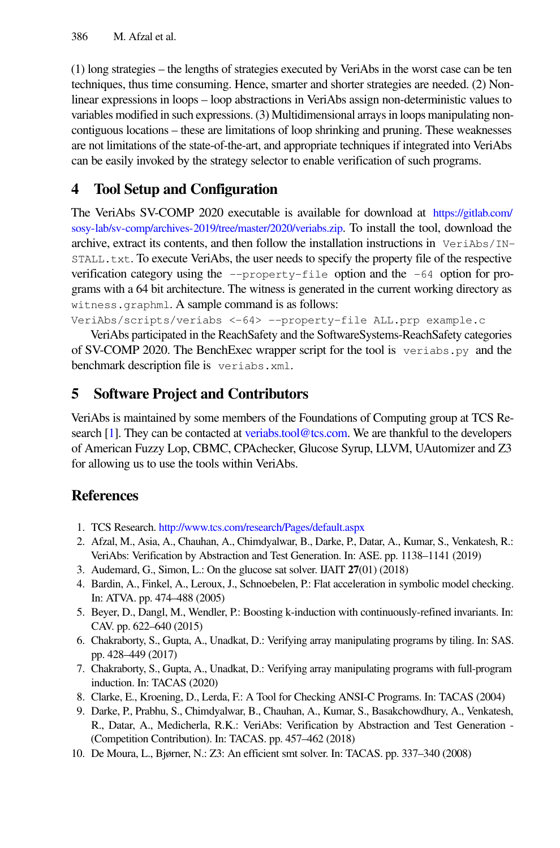(1) long strategies – the lengths of strategies executed by VeriAbs in the worst case can be ten techniques, thus time consuming. Hence, smarter and shorter strategies are needed. (2) Nonlinear expressions in loops – loop abstractions in VeriAbs assign non-deterministic values to variables modified in such expressions. (3) Multidimensional arrays in loops manipulating noncontiguous locations – these are limitations of loop shrinking and pruning. These weaknesses are not limitations of the state-of-the-art, and appropriate techniques if integrated into VeriAbs can be easily invoked by the strategy selector to enable verification of such programs.

## 4 Tool Setup and Configuration

The VeriAbs SV-COMP 2020 executable is available for download at [https://gitlab.com/](https://gitlab.com/sosy-lab/sv-comp/archives-2019/tree/master/2020/veriabs.zip) [sosy-lab/sv-comp/archives-2019/tree/master/2020/veriabs.zip](https://gitlab.com/sosy-lab/sv-comp/archives-2019/tree/master/2020/veriabs.zip). To install the tool, download the archive, extract its contents, and then follow the installation instructions in  $VeriAbs/IN-$ STALL.txt. To execute VeriAbs, the user needs to specify the property file of the respective verification category using the  $-\text{property-file}$  option and the  $-64$  option for programs with a 64 bit architecture. The witness is generated in the current working directory as witness.graphml. A sample command is as follows:

VeriAbs/scripts/veriabs <-64> --property-file ALL.prp example.c

VeriAbs participated in the ReachSafety and the SoftwareSystems-ReachSafety categories of SV-COMP 2020. The BenchExec wrapper script for the tool is veriabs.py and the benchmark description file is veriabs.xml.

### 5 Software Project and Contributors

VeriAbs is maintained by some members of the Foundations of Computing group at TCS Research [\[1\]](#page-3-9). They can be contacted at [veriabs.tool@tcs.com.](mailto:veriabs.tool@tcs.com) We are thankful to the developers of American Fuzzy Lop, CBMC, CPAchecker, Glucose Syrup, LLVM, UAutomizer and Z3 for allowing us to use the tools within VeriAbs.

### References

- <span id="page-3-9"></span>1. TCS Research. <http://www.tcs.com/research/Pages/default.aspx>
- <span id="page-3-0"></span>2. Afzal, M., Asia, A., Chauhan, A., Chimdyalwar, B., Darke, P., Datar, A., Kumar, S., Venkatesh, R.: VeriAbs: Verification by Abstraction and Test Generation. In: ASE. pp. 1138–1141 (2019)
- <span id="page-3-7"></span>3. Audemard, G., Simon, L.: On the glucose sat solver. IJAIT 27(01) (2018)
- <span id="page-3-4"></span>4. Bardin, A., Finkel, A., Leroux, J., Schnoebelen, P.: Flat acceleration in symbolic model checking. In: ATVA. pp. 474–488 (2005)
- <span id="page-3-8"></span>5. Beyer, D., Dangl, M., Wendler, P.: Boosting k-induction with continuously-refined invariants. In: CAV. pp. 622–640 (2015)
- <span id="page-3-3"></span>6. Chakraborty, S., Gupta, A., Unadkat, D.: Verifying array manipulating programs by tiling. In: SAS. pp. 428–449 (2017)
- <span id="page-3-2"></span>7. Chakraborty, S., Gupta, A., Unadkat, D.: Verifying array manipulating programs with full-program induction. In: TACAS (2020)
- <span id="page-3-6"></span>8. Clarke, E., Kroening, D., Lerda, F.: A Tool for Checking ANSI-C Programs. In: TACAS (2004)
- <span id="page-3-1"></span>9. Darke, P., Prabhu, S., Chimdyalwar, B., Chauhan, A., Kumar, S., Basakchowdhury, A., Venkatesh, R., Datar, A., Medicherla, R.K.: VeriAbs: Verification by Abstraction and Test Generation - (Competition Contribution). In: TACAS. pp. 457–462 (2018)
- <span id="page-3-5"></span>10. De Moura, L., Bjørner, N.: Z3: An efficient smt solver. In: TACAS. pp. 337–340 (2008)